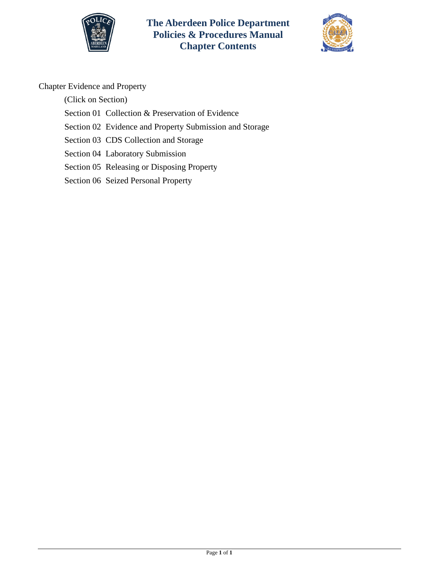

**The Aberdeen Police Department Policies & Procedures Manual Chapter Contents**



# Chapter Evidence and Property

(Click on Section)

- [Section 01 Collection & Preservation of Evidence](#page-1-0)
- [Section 02 Evidence and Property Submission and Storage](#page-8-0)
- [Section 03 CDS Collection and Storage](#page-12-0)
- [Section 04 Laboratory Submission](#page-13-0)
- [Section 05 Releasing or Disposing Property](#page-14-0)
- [Section 06 Seized Personal Property](#page-17-0)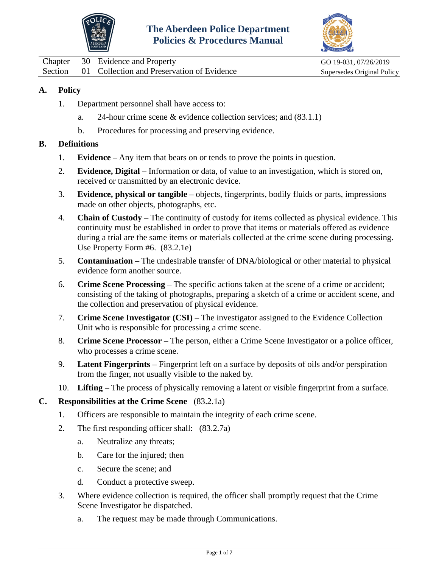



<span id="page-1-0"></span>Chapter 30 Evidence and Property GO 19-031, 07/26/2019 Section 01 Collection and Preservation of Evidence Supersedes Original Policy

### **A. Policy**

- 1. Department personnel shall have access to:
	- a. 24-hour crime scene & evidence collection services; and (83.1.1)
	- b. Procedures for processing and preserving evidence.

#### **B. Definitions**

- 1. **Evidence** Any item that bears on or tends to prove the points in question.
- 2. **Evidence, Digital** Information or data, of value to an investigation, which is stored on, received or transmitted by an electronic device.
- 3. **Evidence, physical or tangible** objects, fingerprints, bodily fluids or parts, impressions made on other objects, photographs, etc.
- 4. **Chain of Custody** The continuity of custody for items collected as physical evidence. This continuity must be established in order to prove that items or materials offered as evidence during a trial are the same items or materials collected at the crime scene during processing. Use Property Form #6. (83.2.1e)
- 5. **Contamination** The undesirable transfer of DNA/biological or other material to physical evidence form another source.
- 6. **Crime Scene Processing** The specific actions taken at the scene of a crime or accident; consisting of the taking of photographs, preparing a sketch of a crime or accident scene, and the collection and preservation of physical evidence.
- 7. **Crime Scene Investigator (CSI)** The investigator assigned to the Evidence Collection Unit who is responsible for processing a crime scene.
- 8. **Crime Scene Processor** The person, either a Crime Scene Investigator or a police officer, who processes a crime scene.
- 9. **Latent Fingerprints** Fingerprint left on a surface by deposits of oils and/or perspiration from the finger, not usually visible to the naked by.
- 10. **Lifting** The process of physically removing a latent or visible fingerprint from a surface.

#### **C. Responsibilities at the Crime Scene** (83.2.1a)

- 1. Officers are responsible to maintain the integrity of each crime scene.
- 2. The first responding officer shall: (83.2.7a)
	- a. Neutralize any threats;
	- b. Care for the injured; then
	- c. Secure the scene; and
	- d. Conduct a protective sweep.
- 3. Where evidence collection is required, the officer shall promptly request that the Crime Scene Investigator be dispatched.
	- a. The request may be made through Communications.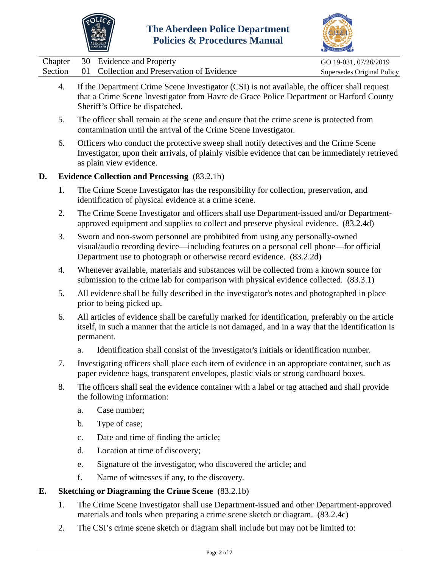



|  | Chapter 30 Evidence and Property                   | GO 19-031, 07/26/2019      |
|--|----------------------------------------------------|----------------------------|
|  | Section 01 Collection and Preservation of Evidence | Supersedes Original Policy |

- 4. If the Department Crime Scene Investigator (CSI) is not available, the officer shall request that a Crime Scene Investigator from Havre de Grace Police Department or Harford County Sheriff's Office be dispatched.
- 5. The officer shall remain at the scene and ensure that the crime scene is protected from contamination until the arrival of the Crime Scene Investigator.
- 6. Officers who conduct the protective sweep shall notify detectives and the Crime Scene Investigator, upon their arrivals, of plainly visible evidence that can be immediately retrieved as plain view evidence.

### **D. Evidence Collection and Processing** (83.2.1b)

- 1. The Crime Scene Investigator has the responsibility for collection, preservation, and identification of physical evidence at a crime scene.
- 2. The Crime Scene Investigator and officers shall use Department-issued and/or Departmentapproved equipment and supplies to collect and preserve physical evidence. (83.2.4d)
- 3. Sworn and non-sworn personnel are prohibited from using any personally-owned visual/audio recording device—including features on a personal cell phone—for official Department use to photograph or otherwise record evidence. (83.2.2d)
- 4. Whenever available, materials and substances will be collected from a known source for submission to the crime lab for comparison with physical evidence collected. (83.3.1)
- 5. All evidence shall be fully described in the investigator's notes and photographed in place prior to being picked up.
- 6. All articles of evidence shall be carefully marked for identification, preferably on the article itself, in such a manner that the article is not damaged, and in a way that the identification is permanent.
	- a. Identification shall consist of the investigator's initials or identification number.
- 7. Investigating officers shall place each item of evidence in an appropriate container, such as paper evidence bags, transparent envelopes, plastic vials or strong cardboard boxes.
- 8. The officers shall seal the evidence container with a label or tag attached and shall provide the following information:
	- a. Case number;
	- b. Type of case;
	- c. Date and time of finding the article;
	- d. Location at time of discovery;
	- e. Signature of the investigator, who discovered the article; and
	- f. Name of witnesses if any, to the discovery.

# **E. Sketching or Diagraming the Crime Scene** (83.2.1b)

- 1. The Crime Scene Investigator shall use Department-issued and other Department-approved materials and tools when preparing a crime scene sketch or diagram. (83.2.4c)
- 2. The CSI's crime scene sketch or diagram shall include but may not be limited to: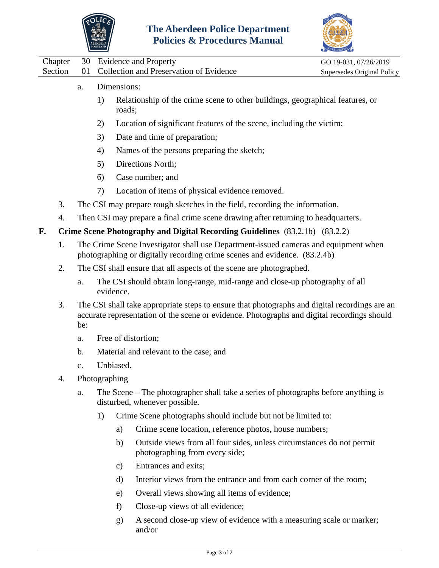



|    |         |     | <b>BERDEEN</b> |               | <b>Policies &amp; Procedures Manual</b>                                                                                                                                                      |                            |
|----|---------|-----|----------------|---------------|----------------------------------------------------------------------------------------------------------------------------------------------------------------------------------------------|----------------------------|
|    | Chapter | 30  |                |               | <b>Evidence and Property</b>                                                                                                                                                                 | GO 19-031, 07/26/2019      |
|    | Section | 01  |                |               | Collection and Preservation of Evidence                                                                                                                                                      | Supersedes Original Policy |
|    |         | a.  |                | Dimensions:   |                                                                                                                                                                                              |                            |
|    |         |     | 1)             | roads;        | Relationship of the crime scene to other buildings, geographical features, or                                                                                                                |                            |
|    |         |     | 2)             |               | Location of significant features of the scene, including the victim;                                                                                                                         |                            |
|    |         |     | 3)             |               | Date and time of preparation;                                                                                                                                                                |                            |
|    |         |     | 4)             |               | Names of the persons preparing the sketch;                                                                                                                                                   |                            |
|    |         |     | 5)             |               | Directions North;                                                                                                                                                                            |                            |
|    |         |     | 6)             |               | Case number; and                                                                                                                                                                             |                            |
|    |         |     | 7)             |               | Location of items of physical evidence removed.                                                                                                                                              |                            |
|    | 3.      |     |                |               | The CSI may prepare rough sketches in the field, recording the information.                                                                                                                  |                            |
|    | 4.      |     |                |               | Then CSI may prepare a final crime scene drawing after returning to headquarters.                                                                                                            |                            |
| F. |         |     |                |               | Crime Scene Photography and Digital Recording Guidelines (83.2.1b) (83.2.2)                                                                                                                  |                            |
|    | 1.      |     |                |               | The Crime Scene Investigator shall use Department-issued cameras and equipment when<br>photographing or digitally recording crime scenes and evidence. (83.2.4b)                             |                            |
|    | 2.      |     |                |               | The CSI shall ensure that all aspects of the scene are photographed.                                                                                                                         |                            |
|    |         | a.  |                | evidence.     | The CSI should obtain long-range, mid-range and close-up photography of all                                                                                                                  |                            |
|    | 3.      | be: |                |               | The CSI shall take appropriate steps to ensure that photographs and digital recordings are an<br>accurate representation of the scene or evidence. Photographs and digital recordings should |                            |
|    |         | a.  |                |               | Free of distortion;                                                                                                                                                                          |                            |
|    |         | b.  |                |               | Material and relevant to the case; and                                                                                                                                                       |                            |
|    |         | c.  |                | Unbiased.     |                                                                                                                                                                                              |                            |
|    | 4.      |     |                | Photographing |                                                                                                                                                                                              |                            |
|    |         | a.  |                |               | The Scene – The photographer shall take a series of photographs before anything is<br>disturbed, whenever possible.                                                                          |                            |
|    |         |     | 1)             |               | Crime Scene photographs should include but not be limited to:                                                                                                                                |                            |
|    |         |     |                | a)            | Crime scene location, reference photos, house numbers;                                                                                                                                       |                            |
|    |         |     |                | b)            | Outside views from all four sides, unless circumstances do not permit<br>photographing from every side;                                                                                      |                            |
|    |         |     |                | $\mathbf{c})$ | Entrances and exits;                                                                                                                                                                         |                            |
|    |         |     |                | d)            | Interior views from the entrance and from each corner of the room;                                                                                                                           |                            |
|    |         |     |                | e)            | Overall views showing all items of evidence;                                                                                                                                                 |                            |
|    |         |     |                | f)            | Close-up views of all evidence;                                                                                                                                                              |                            |

g) A second close-up view of evidence with a measuring scale or marker; and/or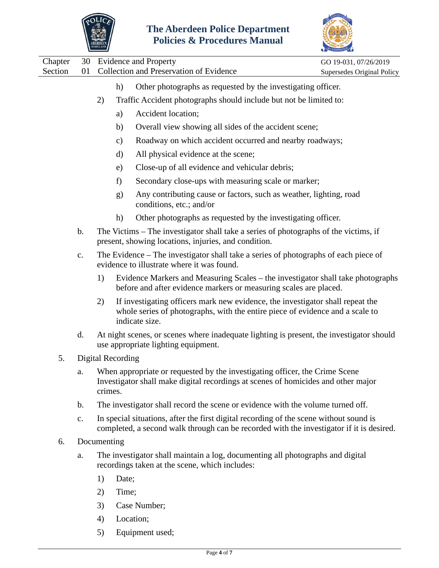



|                    |                | ABERDEEN<br>MARYLAND     |       | Policies & Procedures Manual                                                                                                                                                       |                                                     |
|--------------------|----------------|--------------------------|-------|------------------------------------------------------------------------------------------------------------------------------------------------------------------------------------|-----------------------------------------------------|
| Chapter<br>Section | 30<br>01       |                          |       | <b>Evidence and Property</b><br>Collection and Preservation of Evidence                                                                                                            | GO 19-031, 07/26/2019<br>Supersedes Original Policy |
|                    |                |                          | h)    | Other photographs as requested by the investigating officer.                                                                                                                       |                                                     |
|                    |                | 2)                       |       | Traffic Accident photographs should include but not be limited to:                                                                                                                 |                                                     |
|                    |                |                          | a)    | Accident location;                                                                                                                                                                 |                                                     |
|                    |                |                          | b)    | Overall view showing all sides of the accident scene;                                                                                                                              |                                                     |
|                    |                |                          | c)    | Roadway on which accident occurred and nearby roadways;                                                                                                                            |                                                     |
|                    |                |                          | d)    | All physical evidence at the scene;                                                                                                                                                |                                                     |
|                    |                |                          | e)    | Close-up of all evidence and vehicular debris;                                                                                                                                     |                                                     |
|                    |                |                          | f)    | Secondary close-ups with measuring scale or marker;                                                                                                                                |                                                     |
|                    |                |                          | g)    | Any contributing cause or factors, such as weather, lighting, road<br>conditions, etc.; and/or                                                                                     |                                                     |
|                    |                |                          | h)    | Other photographs as requested by the investigating officer.                                                                                                                       |                                                     |
|                    | b.             |                          |       | The Victims – The investigator shall take a series of photographs of the victims, if<br>present, showing locations, injuries, and condition.                                       |                                                     |
|                    | c.             |                          |       | The Evidence – The investigator shall take a series of photographs of each piece of<br>evidence to illustrate where it was found.                                                  |                                                     |
|                    |                | 1)                       |       | Evidence Markers and Measuring Scales – the investigator shall take photographs<br>before and after evidence markers or measuring scales are placed.                               |                                                     |
|                    |                | 2)                       |       | If investigating officers mark new evidence, the investigator shall repeat the<br>whole series of photographs, with the entire piece of evidence and a scale to<br>indicate size.  |                                                     |
|                    | d.             |                          |       | At night scenes, or scenes where inadequate lighting is present, the investigator should<br>use appropriate lighting equipment.                                                    |                                                     |
| 5.                 |                | <b>Digital Recording</b> |       |                                                                                                                                                                                    |                                                     |
|                    | a.             | crimes.                  |       | When appropriate or requested by the investigating officer, the Crime Scene<br>Investigator shall make digital recordings at scenes of homicides and other major                   |                                                     |
|                    | $\mathbf b$ .  |                          |       | The investigator shall record the scene or evidence with the volume turned off.                                                                                                    |                                                     |
|                    | $\mathbf{c}$ . |                          |       | In special situations, after the first digital recording of the scene without sound is<br>completed, a second walk through can be recorded with the investigator if it is desired. |                                                     |
| 6.                 |                | Documenting              |       |                                                                                                                                                                                    |                                                     |
|                    | a.             |                          |       | The investigator shall maintain a log, documenting all photographs and digital<br>recordings taken at the scene, which includes:                                                   |                                                     |
|                    |                | 1)                       | Date; |                                                                                                                                                                                    |                                                     |
|                    |                | 2)                       | Time; |                                                                                                                                                                                    |                                                     |

- 3) Case Number;
- 4) Location;
- 5) Equipment used;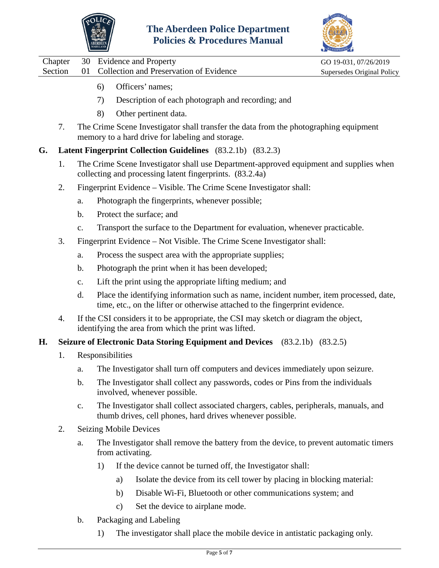



Chapter 30 Evidence and Property GO 19-031, 07/26/2019 Section 01 Collection and Preservation of Evidence Supersedes Original Policy

- 6) Officers' names;
- 7) Description of each photograph and recording; and
- 8) Other pertinent data.
- 7. The Crime Scene Investigator shall transfer the data from the photographing equipment memory to a hard drive for labeling and storage.
- **G. Latent Fingerprint Collection Guidelines** (83.2.1b) (83.2.3)
	- 1. The Crime Scene Investigator shall use Department-approved equipment and supplies when collecting and processing latent fingerprints. (83.2.4a)
	- 2. Fingerprint Evidence Visible. The Crime Scene Investigator shall:
		- a. Photograph the fingerprints, whenever possible;
		- b. Protect the surface; and
		- c. Transport the surface to the Department for evaluation, whenever practicable.
	- 3. Fingerprint Evidence Not Visible. The Crime Scene Investigator shall:
		- a. Process the suspect area with the appropriate supplies;
		- b. Photograph the print when it has been developed;
		- c. Lift the print using the appropriate lifting medium; and
		- d. Place the identifying information such as name, incident number, item processed, date, time, etc., on the lifter or otherwise attached to the fingerprint evidence.
	- 4. If the CSI considers it to be appropriate, the CSI may sketch or diagram the object, identifying the area from which the print was lifted.

### **H. Seizure of Electronic Data Storing Equipment and Devices** (83.2.1b) (83.2.5)

- 1. Responsibilities
	- a. The Investigator shall turn off computers and devices immediately upon seizure.
	- b. The Investigator shall collect any passwords, codes or Pins from the individuals involved, whenever possible.
	- c. The Investigator shall collect associated chargers, cables, peripherals, manuals, and thumb drives, cell phones, hard drives whenever possible.
- 2. Seizing Mobile Devices
	- a. The Investigator shall remove the battery from the device, to prevent automatic timers from activating.
		- 1) If the device cannot be turned off, the Investigator shall:
			- a) Isolate the device from its cell tower by placing in blocking material:
			- b) Disable Wi-Fi, Bluetooth or other communications system; and
			- c) Set the device to airplane mode.
	- b. Packaging and Labeling
		- 1) The investigator shall place the mobile device in antistatic packaging only.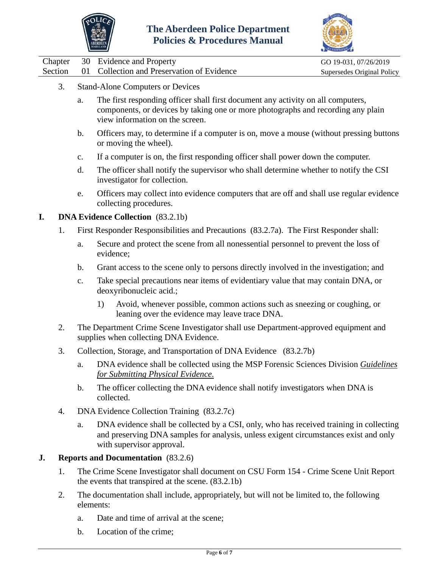



|  | Chapter 30 Evidence and Property                   | GO 19-031, 07/26/2019      |
|--|----------------------------------------------------|----------------------------|
|  | Section 01 Collection and Preservation of Evidence | Supersedes Original Policy |

- 3. Stand-Alone Computers or Devices
	- a. The first responding officer shall first document any activity on all computers, components, or devices by taking one or more photographs and recording any plain view information on the screen.
	- b. Officers may, to determine if a computer is on, move a mouse (without pressing buttons or moving the wheel).
	- c. If a computer is on, the first responding officer shall power down the computer.
	- d. The officer shall notify the supervisor who shall determine whether to notify the CSI investigator for collection.
	- e. Officers may collect into evidence computers that are off and shall use regular evidence collecting procedures.

### **I. DNA Evidence Collection** (83.2.1b)

- 1. First Responder Responsibilities and Precautions (83.2.7a). The First Responder shall:
	- a. Secure and protect the scene from all nonessential personnel to prevent the loss of evidence;
	- b. Grant access to the scene only to persons directly involved in the investigation; and
	- c. Take special precautions near items of evidentiary value that may contain DNA, or deoxyribonucleic acid.;
		- 1) Avoid, whenever possible, common actions such as sneezing or coughing, or leaning over the evidence may leave trace DNA.
- 2. The Department Crime Scene Investigator shall use Department-approved equipment and supplies when collecting DNA Evidence.
- 3. Collection, Storage, and Transportation of DNA Evidence (83.2.7b)
	- a. DNA evidence shall be collected using the MSP Forensic Sciences Division *[Guidelines](https://mdsp.maryland.gov/Organization/Documents/FSD%20Submission%20Guide%20Aug%202015.pdf)  [for Submitting Physical Evidence](https://mdsp.maryland.gov/Organization/Documents/FSD%20Submission%20Guide%20Aug%202015.pdf)*.
	- b. The officer collecting the DNA evidence shall notify investigators when DNA is collected.
- 4. DNA Evidence Collection Training (83.2.7c)
	- a. DNA evidence shall be collected by a CSI, only, who has received training in collecting and preserving DNA samples for analysis, unless exigent circumstances exist and only with supervisor approval.

### **J. Reports and Documentation** (83.2.6)

- 1. The Crime Scene Investigator shall document on CSU Form 154 Crime Scene Unit Report the events that transpired at the scene. (83.2.1b)
- 2. The documentation shall include, appropriately, but will not be limited to, the following elements:
	- a. Date and time of arrival at the scene;
	- b. Location of the crime;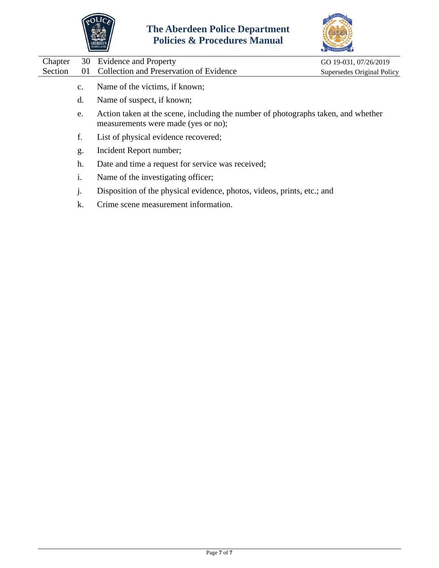



| Chapter | 30             | <b>Evidence and Property</b>                                                                                             | GO 19-031, 07/26/2019      |
|---------|----------------|--------------------------------------------------------------------------------------------------------------------------|----------------------------|
| Section | 01             | Collection and Preservation of Evidence                                                                                  | Supersedes Original Policy |
|         | $C_{\bullet}$  | Name of the victims, if known;                                                                                           |                            |
|         | d.             | Name of suspect, if known;                                                                                               |                            |
|         | e.             | Action taken at the scene, including the number of photographs taken, and whether<br>measurements were made (yes or no); |                            |
|         | f.             | List of physical evidence recovered;                                                                                     |                            |
|         | g.             | Incident Report number;                                                                                                  |                            |
|         | h.             | Date and time a request for service was received;                                                                        |                            |
|         | 1.             | Name of the investigating officer;                                                                                       |                            |
|         | $\mathbf{J}$ . | Disposition of the physical evidence, photos, videos, prints, etc.; and                                                  |                            |
|         | k.             | Crime scene measurement information.                                                                                     |                            |
|         |                |                                                                                                                          |                            |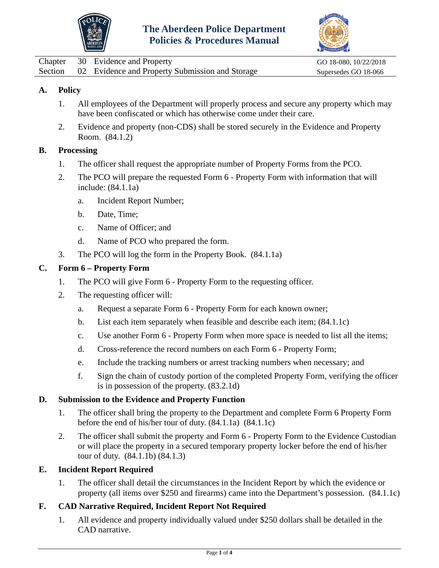



<span id="page-8-0"></span>

|  | Chapter 30 Evidence and Property                        | GO 18-080, 10/22/2018 |
|--|---------------------------------------------------------|-----------------------|
|  | Section 02 Evidence and Property Submission and Storage | Supersedes GO 18-066  |

- 1. All employees of the Department will properly process and secure any property which may have been confiscated or which has otherwise come under their care.
- 2. Evidence and property (non-CDS) shall be stored securely in the Evidence and Property Room. (84.1.2)

### **B. Processing**

- 1. The officer shall request the appropriate number of Property Forms from the PCO.
- 2. The PCO will prepare the requested Form 6 Property Form with information that will include: (84.1.1a)
	- a. Incident Report Number;
	- b. Date, Time;
	- c. Name of Officer; and
	- d. Name of PCO who prepared the form.
- 3. The PCO will log the form in the Property Book. (84.1.1a)

### **C. Form 6 – Property Form**

- 1. The PCO will give Form 6 Property Form to the requesting officer.
- 2. The requesting officer will:
	- a. Request a separate Form 6 Property Form for each known owner;
	- b. List each item separately when feasible and describe each item; (84.1.1c)
	- c. Use another Form 6 Property Form when more space is needed to list all the items;
	- d. Cross-reference the record numbers on each Form 6 Property Form;
	- e. Include the tracking numbers or arrest tracking numbers when necessary; and
	- f. Sign the chain of custody portion of the completed Property Form, verifying the officer is in possession of the property. (83.2.1d)

### **D. Submission to the Evidence and Property Function**

- 1. The officer shall bring the property to the Department and complete Form 6 Property Form before the end of his/her tour of duty. (84.1.1a) (84.1.1c)
- 2. The officer shall submit the property and Form 6 Property Form to the Evidence Custodian or will place the property in a secured temporary property locker before the end of his/her tour of duty. (84.1.1b) (84.1.3)

# **E. Incident Report Required**

1. The officer shall detail the circumstances in the Incident Report by which the evidence or property (all items over \$250 and firearms) came into the Department's possession. (84.1.1c)

# **F. CAD Narrative Required, Incident Report Not Required**

1. All evidence and property individually valued under \$250 dollars shall be detailed in the CAD narrative.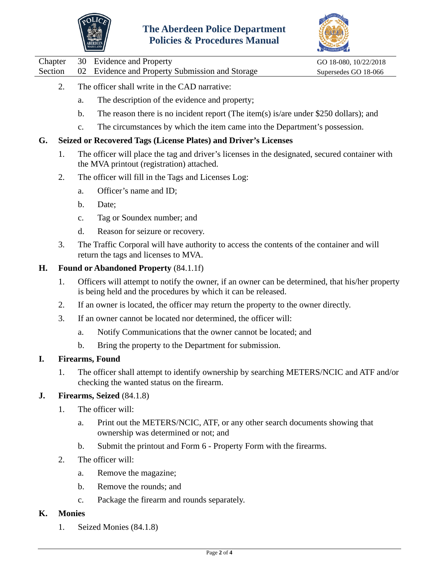



Chapter 30 Evidence and Property GO 18-080, 10/22/2018

Section 02 Evidence and Property Submission and Storage Supersedes GO 18-066

- 2. The officer shall write in the CAD narrative:
	- a. The description of the evidence and property;
	- b. The reason there is no incident report (The item(s) is/are under \$250 dollars); and
	- c. The circumstances by which the item came into the Department's possession.

### **G. Seized or Recovered Tags (License Plates) and Driver's Licenses**

- 1. The officer will place the tag and driver's licenses in the designated, secured container with the MVA printout (registration) attached.
- 2. The officer will fill in the Tags and Licenses Log:
	- a. Officer's name and ID;
	- b. Date;
	- c. Tag or Soundex number; and
	- d. Reason for seizure or recovery.
- 3. The Traffic Corporal will have authority to access the contents of the container and will return the tags and licenses to MVA.

### **H. Found or Abandoned Property** (84.1.1f)

- 1. Officers will attempt to notify the owner, if an owner can be determined, that his/her property is being held and the procedures by which it can be released.
- 2. If an owner is located, the officer may return the property to the owner directly.
- 3. If an owner cannot be located nor determined, the officer will:
	- a. Notify Communications that the owner cannot be located; and
	- b. Bring the property to the Department for submission.

### **I. Firearms, Found**

1. The officer shall attempt to identify ownership by searching METERS/NCIC and ATF and/or checking the wanted status on the firearm.

### **J. Firearms, Seized** (84.1.8)

- 1. The officer will:
	- a. Print out the METERS/NCIC, ATF, or any other search documents showing that ownership was determined or not; and
	- b. Submit the printout and Form 6 Property Form with the firearms.
- 2. The officer will:
	- a. Remove the magazine;
	- b. Remove the rounds; and
	- c. Package the firearm and rounds separately.

### **K. Monies**

1. Seized Monies (84.1.8)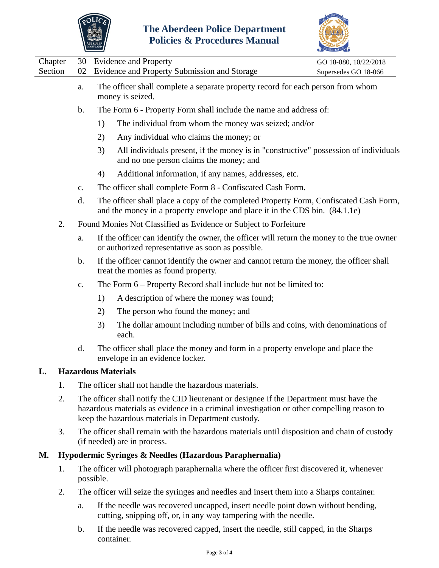



|                    |    |                | <b>TARYLAND</b> |                                                                                                                                                                                                                                             | ACCREDITATION                                 |
|--------------------|----|----------------|-----------------|---------------------------------------------------------------------------------------------------------------------------------------------------------------------------------------------------------------------------------------------|-----------------------------------------------|
| Chapter<br>Section |    | 30<br>02       |                 | <b>Evidence and Property</b><br>Evidence and Property Submission and Storage                                                                                                                                                                | GO 18-080, 10/22/2018<br>Supersedes GO 18-066 |
|                    |    | a.             |                 | The officer shall complete a separate property record for each person from whom<br>money is seized.                                                                                                                                         |                                               |
|                    |    | $\mathbf b$ .  |                 | The Form 6 - Property Form shall include the name and address of:                                                                                                                                                                           |                                               |
|                    |    |                | 1)              | The individual from whom the money was seized; and/or                                                                                                                                                                                       |                                               |
|                    |    |                | 2)              | Any individual who claims the money; or                                                                                                                                                                                                     |                                               |
|                    |    |                | 3)              | All individuals present, if the money is in "constructive" possession of individuals<br>and no one person claims the money; and                                                                                                             |                                               |
|                    |    |                | 4)              | Additional information, if any names, addresses, etc.                                                                                                                                                                                       |                                               |
|                    |    | c.             |                 | The officer shall complete Form 8 - Confiscated Cash Form.                                                                                                                                                                                  |                                               |
|                    |    | d.             |                 | The officer shall place a copy of the completed Property Form, Confiscated Cash Form,<br>and the money in a property envelope and place it in the CDS bin. (84.1.1e)                                                                        |                                               |
|                    | 2. |                |                 | Found Monies Not Classified as Evidence or Subject to Forfeiture                                                                                                                                                                            |                                               |
|                    |    | a.             |                 | If the officer can identify the owner, the officer will return the money to the true owner<br>or authorized representative as soon as possible.                                                                                             |                                               |
|                    |    | $\mathbf{b}$ . |                 | If the officer cannot identify the owner and cannot return the money, the officer shall<br>treat the monies as found property.                                                                                                              |                                               |
|                    |    | $C_{\bullet}$  |                 | The Form 6 – Property Record shall include but not be limited to:                                                                                                                                                                           |                                               |
|                    |    |                | 1)              | A description of where the money was found;                                                                                                                                                                                                 |                                               |
|                    |    |                | 2)              | The person who found the money; and                                                                                                                                                                                                         |                                               |
|                    |    |                | 3)              | The dollar amount including number of bills and coins, with denominations of<br>each.                                                                                                                                                       |                                               |
|                    |    | d.             |                 | The officer shall place the money and form in a property envelope and place the<br>envelope in an evidence locker.                                                                                                                          |                                               |
| L.                 |    |                |                 | <b>Hazardous Materials</b>                                                                                                                                                                                                                  |                                               |
|                    | 1. |                |                 | The officer shall not handle the hazardous materials.                                                                                                                                                                                       |                                               |
|                    | 2. |                |                 | The officer shall notify the CID lieutenant or designee if the Department must have the<br>hazardous materials as evidence in a criminal investigation or other compelling reason to<br>keep the hazardous materials in Department custody. |                                               |
|                    | 3. |                |                 | The officer shall remain with the hazardous materials until disposition and chain of custody<br>(if needed) are in process.                                                                                                                 |                                               |
| М.                 |    |                |                 | Hypodermic Syringes & Needles (Hazardous Paraphernalia)                                                                                                                                                                                     |                                               |
|                    | 1. |                | possible.       | The officer will photograph paraphernalia where the officer first discovered it, whenever                                                                                                                                                   |                                               |
|                    | 2. |                |                 | The officer will seize the syringes and needles and insert them into a Sharps container.                                                                                                                                                    |                                               |
|                    |    | a.             |                 | If the needle was recovered uncapped, insert needle point down without bending,<br>cutting, snipping off, or, in any way tampering with the needle.                                                                                         |                                               |

b. If the needle was recovered capped, insert the needle, still capped, in the Sharps container.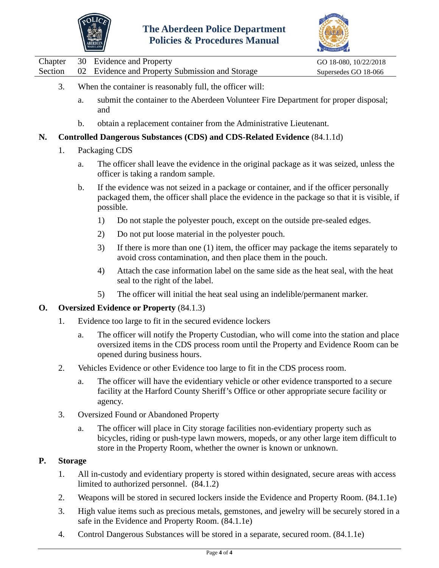



|         |    |                                                                                            | CREDITATION           |
|---------|----|--------------------------------------------------------------------------------------------|-----------------------|
| Chapter |    | 30 Evidence and Property                                                                   | GO 18-080, 10/22/2018 |
| Section |    | 02 Evidence and Property Submission and Storage                                            | Supersedes GO 18-066  |
| 3.      |    | When the container is reasonably full, the officer will:                                   |                       |
|         | a. | submit the container to the Aberdeen Volunteer Fire Department for proper disposal;<br>and |                       |

b. obtain a replacement container from the Administrative Lieutenant.

### **N. Controlled Dangerous Substances (CDS) and CDS-Related Evidence** (84.1.1d)

### 1. Packaging CDS

- a. The officer shall leave the evidence in the original package as it was seized, unless the officer is taking a random sample.
- b. If the evidence was not seized in a package or container, and if the officer personally packaged them, the officer shall place the evidence in the package so that it is visible, if possible.
	- 1) Do not staple the polyester pouch, except on the outside pre-sealed edges.
	- 2) Do not put loose material in the polyester pouch.
	- 3) If there is more than one (1) item, the officer may package the items separately to avoid cross contamination, and then place them in the pouch.
	- 4) Attach the case information label on the same side as the heat seal, with the heat seal to the right of the label.
	- 5) The officer will initial the heat seal using an indelible/permanent marker.

### **O. Oversized Evidence or Property** (84.1.3)

- 1. Evidence too large to fit in the secured evidence lockers
	- a. The officer will notify the Property Custodian, who will come into the station and place oversized items in the CDS process room until the Property and Evidence Room can be opened during business hours.
- 2. Vehicles Evidence or other Evidence too large to fit in the CDS process room.
	- a. The officer will have the evidentiary vehicle or other evidence transported to a secure facility at the Harford County Sheriff's Office or other appropriate secure facility or agency.
- 3. Oversized Found or Abandoned Property
	- a. The officer will place in City storage facilities non-evidentiary property such as bicycles, riding or push-type lawn mowers, mopeds, or any other large item difficult to store in the Property Room, whether the owner is known or unknown.

### **P. Storage**

- 1. All in-custody and evidentiary property is stored within designated, secure areas with access limited to authorized personnel. (84.1.2)
- 2. Weapons will be stored in secured lockers inside the Evidence and Property Room. (84.1.1e)
- 3. High value items such as precious metals, gemstones, and jewelry will be securely stored in a safe in the Evidence and Property Room. (84.1.1e)
- 4. Control Dangerous Substances will be stored in a separate, secured room. (84.1.1e)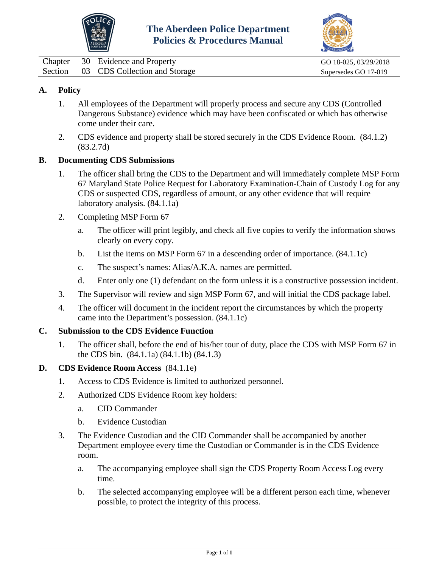



<span id="page-12-0"></span>

| Chapter | 30 Evidence and Property              | GO 18-025, 03/29/2018 |
|---------|---------------------------------------|-----------------------|
|         | Section 03 CDS Collection and Storage | Supersedes GO 17-019  |

- 1. All employees of the Department will properly process and secure any CDS (Controlled Dangerous Substance) evidence which may have been confiscated or which has otherwise come under their care.
- 2. CDS evidence and property shall be stored securely in the CDS Evidence Room. (84.1.2) (83.2.7d)

### **B. Documenting CDS Submissions**

- 1. The officer shall bring the CDS to the Department and will immediately complete MSP Form 67 Maryland State Police Request for Laboratory Examination-Chain of Custody Log for any CDS or suspected CDS, regardless of amount, or any other evidence that will require laboratory analysis. (84.1.1a)
- 2. Completing MSP Form 67
	- a. The officer will print legibly, and check all five copies to verify the information shows clearly on every copy.
	- b. List the items on MSP Form 67 in a descending order of importance. (84.1.1c)
	- c. The suspect's names: Alias/A.K.A. names are permitted.
	- d. Enter only one (1) defendant on the form unless it is a constructive possession incident.
- 3. The Supervisor will review and sign MSP Form 67, and will initial the CDS package label.
- 4. The officer will document in the incident report the circumstances by which the property came into the Department's possession. (84.1.1c)

#### **C. Submission to the CDS Evidence Function**

- 1. The officer shall, before the end of his/her tour of duty, place the CDS with MSP Form 67 in the CDS bin. (84.1.1a) (84.1.1b) (84.1.3)
- **D. CDS Evidence Room Access** (84.1.1e)
	- 1. Access to CDS Evidence is limited to authorized personnel.
	- 2. Authorized CDS Evidence Room key holders:
		- a. CID Commander
		- b. Evidence Custodian
	- 3. The Evidence Custodian and the CID Commander shall be accompanied by another Department employee every time the Custodian or Commander is in the CDS Evidence room.
		- a. The accompanying employee shall sign the CDS Property Room Access Log every time.
		- b. The selected accompanying employee will be a different person each time, whenever possible, to protect the integrity of this process.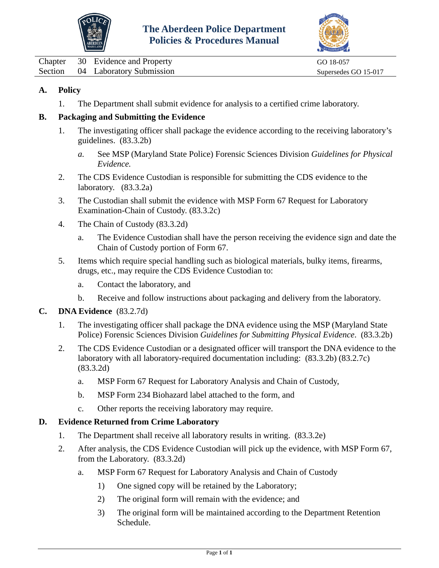



<span id="page-13-0"></span>

|  | Chapter 30 Evidence and Property | GO 18-057            |
|--|----------------------------------|----------------------|
|  | Section 04 Laboratory Submission | Supersedes GO 15-017 |

1. The Department shall submit evidence for analysis to a certified crime laboratory.

### **B. Packaging and Submitting the Evidence**

- 1. The investigating officer shall package the evidence according to the receiving laboratory's guidelines. (83.3.2b)
	- *a.* See MSP (Maryland State Police) Forensic Sciences Division *[Guidelines for Physical](http://mdsp.maryland.gov/Organization/Documents/FSD%20Submission%20Guide%20Aug%202015.pdf)  [Evidence.](http://mdsp.maryland.gov/Organization/Documents/FSD%20Submission%20Guide%20Aug%202015.pdf)*
- 2. The CDS Evidence Custodian is responsible for submitting the CDS evidence to the laboratory. (83.3.2a)
- 3. The Custodian shall submit the evidence with MSP Form 67 Request for Laboratory Examination-Chain of Custody. (83.3.2c)
- 4. The Chain of Custody (83.3.2d)
	- a. The Evidence Custodian shall have the person receiving the evidence sign and date the Chain of Custody portion of Form 67.
- 5. Items which require special handling such as biological materials, bulky items, firearms, drugs, etc., may require the CDS Evidence Custodian to:
	- a. Contact the laboratory, and
	- b. Receive and follow instructions about packaging and delivery from the laboratory.

### **C. DNA Evidence** (83.2.7d)

- 1. The investigating officer shall package the DNA evidence using the MSP (Maryland State Police) Forensic Sciences Division *Guidelines for Submitting Physical Evidence*. (83.3.2b)
- 2. The CDS Evidence Custodian or a designated officer will transport the DNA evidence to the laboratory with all laboratory-required documentation including: (83.3.2b) (83.2.7c) (83.3.2d)
	- a. MSP Form 67 Request for Laboratory Analysis and Chain of Custody,
	- b. MSP Form 234 Biohazard label attached to the form, and
	- c. Other reports the receiving laboratory may require.

### **D. Evidence Returned from Crime Laboratory**

- 1. The Department shall receive all laboratory results in writing. (83.3.2e)
- 2. After analysis, the CDS Evidence Custodian will pick up the evidence, with MSP Form 67, from the Laboratory. (83.3.2d)
	- a. MSP Form 67 Request for Laboratory Analysis and Chain of Custody
		- 1) One signed copy will be retained by the Laboratory;
		- 2) The original form will remain with the evidence; and
		- 3) The original form will be maintained according to the Department Retention Schedule.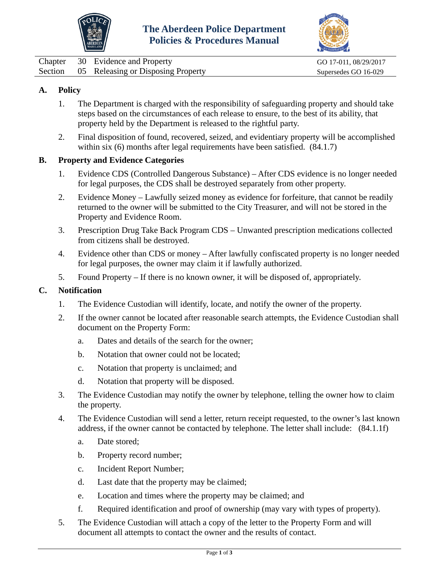



<span id="page-14-0"></span>

|  | Chapter 30 Evidence and Property           | GO 17-011, 08/29/2017 |
|--|--------------------------------------------|-----------------------|
|  | Section 05 Releasing or Disposing Property | Supersedes GO 16-029  |

- 1. The Department is charged with the responsibility of safeguarding property and should take steps based on the circumstances of each release to ensure, to the best of its ability, that property held by the Department is released to the rightful party.
- 2. Final disposition of found, recovered, seized, and evidentiary property will be accomplished within six (6) months after legal requirements have been satisfied. (84.1.7)

#### **B. Property and Evidence Categories**

- 1. Evidence CDS (Controlled Dangerous Substance) After CDS evidence is no longer needed for legal purposes, the CDS shall be destroyed separately from other property.
- 2. Evidence Money Lawfully seized money as evidence for forfeiture, that cannot be readily returned to the owner will be submitted to the City Treasurer, and will not be stored in the Property and Evidence Room.
- 3. Prescription Drug Take Back Program CDS Unwanted prescription medications collected from citizens shall be destroyed.
- 4. Evidence other than CDS or money After lawfully confiscated property is no longer needed for legal purposes, the owner may claim it if lawfully authorized.
- 5. Found Property If there is no known owner, it will be disposed of, appropriately.

### **C. Notification**

- 1. The Evidence Custodian will identify, locate, and notify the owner of the property.
- 2. If the owner cannot be located after reasonable search attempts, the Evidence Custodian shall document on the Property Form:
	- a. Dates and details of the search for the owner;
	- b. Notation that owner could not be located;
	- c. Notation that property is unclaimed; and
	- d. Notation that property will be disposed.
- 3. The Evidence Custodian may notify the owner by telephone, telling the owner how to claim the property.
- 4. The Evidence Custodian will send a letter, return receipt requested, to the owner's last known address, if the owner cannot be contacted by telephone. The letter shall include: (84.1.1f)
	- a. Date stored;
	- b. Property record number;
	- c. Incident Report Number;
	- d. Last date that the property may be claimed;
	- e. Location and times where the property may be claimed; and
	- f. Required identification and proof of ownership (may vary with types of property).
- 5. The Evidence Custodian will attach a copy of the letter to the Property Form and will document all attempts to contact the owner and the results of contact.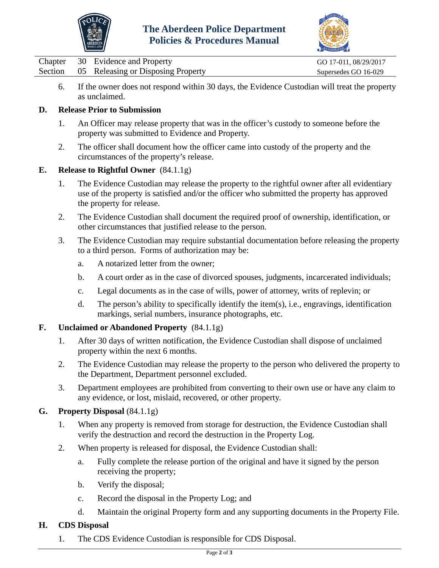



|  | Chapter 30 Evidence and Property           | GO 17-011, 08/29/2017 |
|--|--------------------------------------------|-----------------------|
|  | Section 05 Releasing or Disposing Property | Supersedes GO 16-029  |

6. If the owner does not respond within 30 days, the Evidence Custodian will treat the property as unclaimed.

### **D. Release Prior to Submission**

- 1. An Officer may release property that was in the officer's custody to someone before the property was submitted to Evidence and Property.
- 2. The officer shall document how the officer came into custody of the property and the circumstances of the property's release.

### **E. Release to Rightful Owner** (84.1.1g)

- 1. The Evidence Custodian may release the property to the rightful owner after all evidentiary use of the property is satisfied and/or the officer who submitted the property has approved the property for release.
- 2. The Evidence Custodian shall document the required proof of ownership, identification, or other circumstances that justified release to the person.
- 3. The Evidence Custodian may require substantial documentation before releasing the property to a third person. Forms of authorization may be:
	- a. A notarized letter from the owner;
	- b. A court order as in the case of divorced spouses, judgments, incarcerated individuals;
	- c. Legal documents as in the case of wills, power of attorney, writs of replevin; or
	- d. The person's ability to specifically identify the item(s), i.e., engravings, identification markings, serial numbers, insurance photographs, etc.

### **F. Unclaimed or Abandoned Property** (84.1.1g)

- 1. After 30 days of written notification, the Evidence Custodian shall dispose of unclaimed property within the next 6 months.
- 2. The Evidence Custodian may release the property to the person who delivered the property to the Department, Department personnel excluded.
- 3. Department employees are prohibited from converting to their own use or have any claim to any evidence, or lost, mislaid, recovered, or other property.

### **G. Property Disposal** (84.1.1g)

- 1. When any property is removed from storage for destruction, the Evidence Custodian shall verify the destruction and record the destruction in the Property Log.
- 2. When property is released for disposal, the Evidence Custodian shall:
	- a. Fully complete the release portion of the original and have it signed by the person receiving the property;
	- b. Verify the disposal;
	- c. Record the disposal in the Property Log; and
	- d. Maintain the original Property form and any supporting documents in the Property File.

# **H. CDS Disposal**

1. The CDS Evidence Custodian is responsible for CDS Disposal.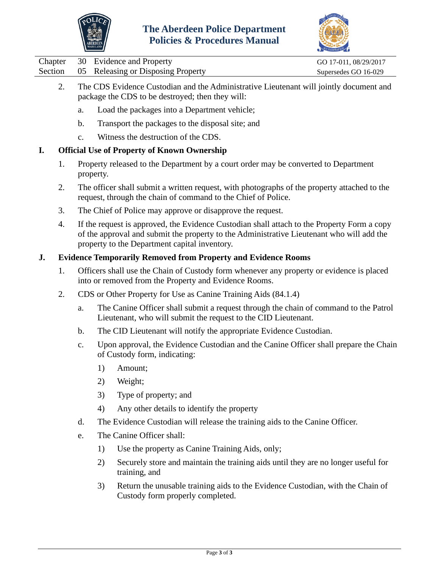



- 2. The CDS Evidence Custodian and the Administrative Lieutenant will jointly document and package the CDS to be destroyed; then they will:
	- a. Load the packages into a Department vehicle;
	- b. Transport the packages to the disposal site; and
	- c. Witness the destruction of the CDS.

### **I. Official Use of Property of Known Ownership**

- 1. Property released to the Department by a court order may be converted to Department property.
- 2. The officer shall submit a written request, with photographs of the property attached to the request, through the chain of command to the Chief of Police.
- 3. The Chief of Police may approve or disapprove the request.
- 4. If the request is approved, the Evidence Custodian shall attach to the Property Form a copy of the approval and submit the property to the Administrative Lieutenant who will add the property to the Department capital inventory.

### **J. Evidence Temporarily Removed from Property and Evidence Rooms**

- 1. Officers shall use the Chain of Custody form whenever any property or evidence is placed into or removed from the Property and Evidence Rooms.
- 2. CDS or Other Property for Use as Canine Training Aids (84.1.4)
	- a. The Canine Officer shall submit a request through the chain of command to the Patrol Lieutenant, who will submit the request to the CID Lieutenant.
	- b. The CID Lieutenant will notify the appropriate Evidence Custodian.
	- c. Upon approval, the Evidence Custodian and the Canine Officer shall prepare the Chain of Custody form, indicating:
		- 1) Amount;
		- 2) Weight;
		- 3) Type of property; and
		- 4) Any other details to identify the property
	- d. The Evidence Custodian will release the training aids to the Canine Officer.
	- e. The Canine Officer shall:
		- 1) Use the property as Canine Training Aids, only;
		- 2) Securely store and maintain the training aids until they are no longer useful for training, and
		- 3) Return the unusable training aids to the Evidence Custodian, with the Chain of Custody form properly completed.